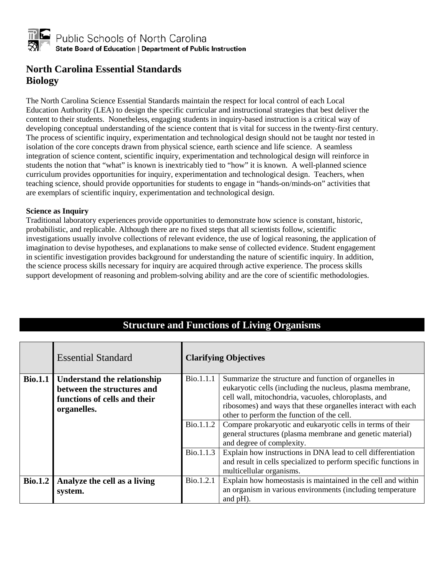

### **North Carolina Essential Standards Biology**

The North Carolina Science Essential Standards maintain the respect for local control of each Local Education Authority (LEA) to design the specific curricular and instructional strategies that best deliver the content to their students. Nonetheless, engaging students in inquiry-based instruction is a critical way of developing conceptual understanding of the science content that is vital for success in the twenty-first century. The process of scientific inquiry, experimentation and technological design should not be taught nor tested in isolation of the core concepts drawn from physical science, earth science and life science. A seamless integration of science content, scientific inquiry, experimentation and technological design will reinforce in students the notion that "what" is known is inextricably tied to "how" it is known. A well-planned science curriculum provides opportunities for inquiry, experimentation and technological design. Teachers, when teaching science, should provide opportunities for students to engage in "hands-on/minds-on" activities that are exemplars of scientific inquiry, experimentation and technological design.

#### **Science as Inquiry**

Traditional laboratory experiences provide opportunities to demonstrate how science is constant, historic, probabilistic, and replicable. Although there are no fixed steps that all scientists follow, scientific investigations usually involve collections of relevant evidence, the use of logical reasoning, the application of imagination to devise hypotheses, and explanations to make sense of collected evidence. Student engagement in scientific investigation provides background for understanding the nature of scientific inquiry. In addition, the science process skills necessary for inquiry are acquired through active experience. The process skills support development of reasoning and problem-solving ability and are the core of scientific methodologies.

|                | <b>Essential Standard</b>          | <b>Clarifying Objectives</b> |                                                                  |
|----------------|------------------------------------|------------------------------|------------------------------------------------------------------|
| <b>Bio.1.1</b> | <b>Understand the relationship</b> | Bio.1.1.1                    | Summarize the structure and function of organelles in            |
|                | between the structures and         |                              | eukaryotic cells (including the nucleus, plasma membrane,        |
|                | functions of cells and their       |                              | cell wall, mitochondria, vacuoles, chloroplasts, and             |
|                | organelles.                        |                              | ribosomes) and ways that these organelles interact with each     |
|                |                                    |                              | other to perform the function of the cell.                       |
|                |                                    | Bio.1.1.2                    | Compare prokaryotic and eukaryotic cells in terms of their       |
|                |                                    |                              | general structures (plasma membrane and genetic material)        |
|                |                                    |                              | and degree of complexity.                                        |
|                |                                    | Bio.1.1.3                    | Explain how instructions in DNA lead to cell differentiation     |
|                |                                    |                              | and result in cells specialized to perform specific functions in |
|                |                                    |                              | multicellular organisms.                                         |
| <b>Bio.1.2</b> | Analyze the cell as a living       | Bio.1.2.1                    | Explain how homeostasis is maintained in the cell and within     |
|                | system.                            |                              | an organism in various environments (including temperature       |
|                |                                    |                              | and pH).                                                         |

#### **Structure and Functions of Living Organisms**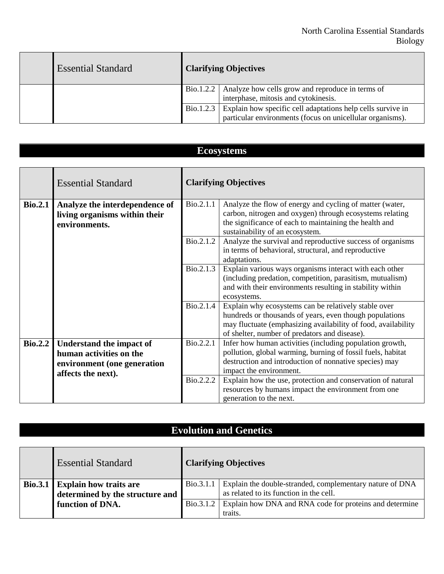| <b>Essential Standard</b> | <b>Clarifying Objectives</b> |                                                                                                                                      |
|---------------------------|------------------------------|--------------------------------------------------------------------------------------------------------------------------------------|
|                           |                              | Bio.1.2.2   Analyze how cells grow and reproduce in terms of<br>interphase, mitosis and cytokinesis.                                 |
|                           |                              | $Bio.1.2.3$ Explain how specific cell adaptations help cells survive in<br>particular environments (focus on unicellular organisms). |

| <b>Ecosystems</b> |                                                                                                                 |                              |                                                                                                                                                                                                                                   |
|-------------------|-----------------------------------------------------------------------------------------------------------------|------------------------------|-----------------------------------------------------------------------------------------------------------------------------------------------------------------------------------------------------------------------------------|
|                   |                                                                                                                 |                              |                                                                                                                                                                                                                                   |
|                   | <b>Essential Standard</b>                                                                                       | <b>Clarifying Objectives</b> |                                                                                                                                                                                                                                   |
| <b>Bio.2.1</b>    | Analyze the interdependence of<br>living organisms within their<br>environments.                                | Bio.2.1.1                    | Analyze the flow of energy and cycling of matter (water,<br>carbon, nitrogen and oxygen) through ecosystems relating<br>the significance of each to maintaining the health and<br>sustainability of an ecosystem.                 |
|                   |                                                                                                                 | Bio.2.1.2                    | Analyze the survival and reproductive success of organisms<br>in terms of behavioral, structural, and reproductive<br>adaptations.                                                                                                |
|                   |                                                                                                                 | Bio.2.1.3                    | Explain various ways organisms interact with each other<br>(including predation, competition, parasitism, mutualism)<br>and with their environments resulting in stability within<br>ecosystems.                                  |
|                   |                                                                                                                 | Bio.2.1.4                    | Explain why ecosystems can be relatively stable over<br>hundreds or thousands of years, even though populations<br>may fluctuate (emphasizing availability of food, availability<br>of shelter, number of predators and disease). |
| <b>Bio.2.2</b>    | <b>Understand the impact of</b><br>human activities on the<br>environment (one generation<br>affects the next). | Bio.2.2.1                    | Infer how human activities (including population growth,<br>pollution, global warming, burning of fossil fuels, habitat<br>destruction and introduction of nonnative species) may<br>impact the environment.                      |
|                   |                                                                                                                 | Bio.2.2.2                    | Explain how the use, protection and conservation of natural<br>resources by humans impact the environment from one<br>generation to the next.                                                                                     |

## **Evolution and Genetics**

| <b>Essential Standard</b>                                         | <b>Clarifying Objectives</b> |                                                                                                     |
|-------------------------------------------------------------------|------------------------------|-----------------------------------------------------------------------------------------------------|
| Bio.3.1 Explain how traits are<br>determined by the structure and | Bio.3.1.1                    | Explain the double-stranded, complementary nature of DNA<br>as related to its function in the cell. |
| function of DNA.                                                  | Bio.3.1.2                    | Explain how DNA and RNA code for proteins and determine<br>traits                                   |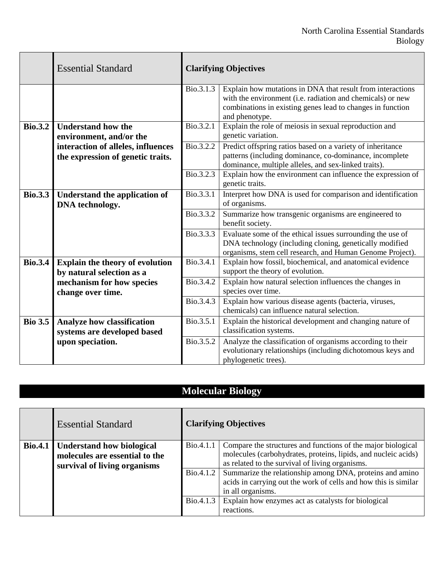|                | <b>Essential Standard</b>                                               | <b>Clarifying Objectives</b> |                                                                                                                                                                                                                                              |
|----------------|-------------------------------------------------------------------------|------------------------------|----------------------------------------------------------------------------------------------------------------------------------------------------------------------------------------------------------------------------------------------|
|                |                                                                         | Bio.3.1.3                    | Explain how mutations in DNA that result from interactions<br>with the environment (i.e. radiation and chemicals) or new<br>combinations in existing genes lead to changes in function<br>and phenotype.                                     |
| <b>Bio.3.2</b> | <b>Understand how the</b><br>environment, and/or the                    | $\overline{Bio.3.2.1}$       | Explain the role of meiosis in sexual reproduction and<br>genetic variation.                                                                                                                                                                 |
|                | interaction of alleles, influences<br>the expression of genetic traits. | Bio.3.2.2<br>Bio.3.2.3       | Predict offspring ratios based on a variety of inheritance<br>patterns (including dominance, co-dominance, incomplete<br>dominance, multiple alleles, and sex-linked traits).<br>Explain how the environment can influence the expression of |
| <b>Bio.3.3</b> | <b>Understand the application of</b>                                    | Bio.3.3.1                    | genetic traits.<br>Interpret how DNA is used for comparison and identification                                                                                                                                                               |
|                | <b>DNA</b> technology.                                                  | Bio.3.3.2                    | of organisms.<br>Summarize how transgenic organisms are engineered to<br>benefit society.                                                                                                                                                    |
|                |                                                                         | Bio.3.3.3                    | Evaluate some of the ethical issues surrounding the use of<br>DNA technology (including cloning, genetically modified<br>organisms, stem cell research, and Human Genome Project).                                                           |
| <b>Bio.3.4</b> | <b>Explain the theory of evolution</b><br>by natural selection as a     | Bio.3.4.1                    | Explain how fossil, biochemical, and anatomical evidence<br>support the theory of evolution.                                                                                                                                                 |
|                | mechanism for how species<br>change over time.                          | Bio.3.4.2                    | Explain how natural selection influences the changes in<br>species over time.                                                                                                                                                                |
|                |                                                                         | Bio.3.4.3                    | Explain how various disease agents (bacteria, viruses,<br>chemicals) can influence natural selection.                                                                                                                                        |
| <b>Bio 3.5</b> | <b>Analyze how classification</b><br>systems are developed based        | Bio.3.5.1                    | Explain the historical development and changing nature of<br>classification systems.                                                                                                                                                         |
|                | upon speciation.                                                        | Bio.3.5.2                    | Analyze the classification of organisms according to their<br>evolutionary relationships (including dichotomous keys and<br>phylogenetic trees).                                                                                             |

# **Molecular Biology**

|                | <b>Essential Standard</b>                                          | <b>Clarifying Objectives</b> |                                                                                                                                |
|----------------|--------------------------------------------------------------------|------------------------------|--------------------------------------------------------------------------------------------------------------------------------|
| <b>Bio.4.1</b> | <b>Understand how biological</b><br>molecules are essential to the | Bio.4.1.1                    | Compare the structures and functions of the major biological<br>molecules (carbohydrates, proteins, lipids, and nucleic acids) |
|                | survival of living organisms                                       |                              | as related to the survival of living organisms.                                                                                |
|                |                                                                    |                              | $Bio.4.1.2$ Summarize the relationship among DNA, proteins and amino                                                           |
|                |                                                                    |                              | acids in carrying out the work of cells and how this is similar                                                                |
|                |                                                                    |                              | in all organisms.                                                                                                              |
|                |                                                                    | Bio.4.1.3                    | Explain how enzymes act as catalysts for biological                                                                            |
|                |                                                                    |                              | reactions.                                                                                                                     |